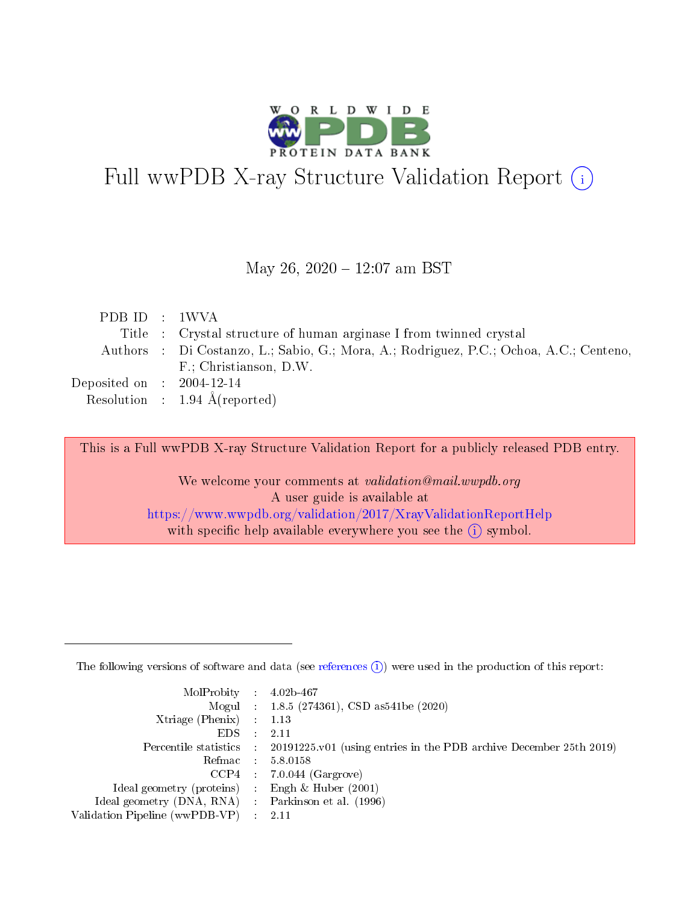

# Full wwPDB X-ray Structure Validation Report (i)

#### May 26, 2020 - 12:07 am BST

| PDB ID : 1WVA               |                                                                                        |
|-----------------------------|----------------------------------------------------------------------------------------|
|                             | Title : Crystal structure of human arginase I from twinned crystal                     |
|                             | Authors : Di Costanzo, L.; Sabio, G.; Mora, A.; Rodriguez, P.C.; Ochoa, A.C.; Centeno, |
|                             | F.; Christianson, D.W.                                                                 |
| Deposited on : $2004-12-14$ |                                                                                        |
|                             | Resolution : $1.94 \text{ Å}$ (reported)                                               |

This is a Full wwPDB X-ray Structure Validation Report for a publicly released PDB entry.

We welcome your comments at validation@mail.wwpdb.org A user guide is available at <https://www.wwpdb.org/validation/2017/XrayValidationReportHelp> with specific help available everywhere you see the  $(i)$  symbol.

The following versions of software and data (see [references](https://www.wwpdb.org/validation/2017/XrayValidationReportHelp#references)  $(1)$ ) were used in the production of this report:

| $MolProbability$ : 4.02b-467                        |                                                                                            |
|-----------------------------------------------------|--------------------------------------------------------------------------------------------|
|                                                     | Mogul : 1.8.5 (274361), CSD as 541be (2020)                                                |
| Xtriage (Phenix) $: 1.13$                           |                                                                                            |
| EDS :                                               | -2.11                                                                                      |
|                                                     | Percentile statistics : 20191225.v01 (using entries in the PDB archive December 25th 2019) |
| Refmac 58.0158                                      |                                                                                            |
|                                                     | $CCP4$ 7.0.044 (Gargrove)                                                                  |
| Ideal geometry (proteins) : Engh $\&$ Huber (2001)  |                                                                                            |
| Ideal geometry (DNA, RNA) : Parkinson et al. (1996) |                                                                                            |
| Validation Pipeline (wwPDB-VP) : 2.11               |                                                                                            |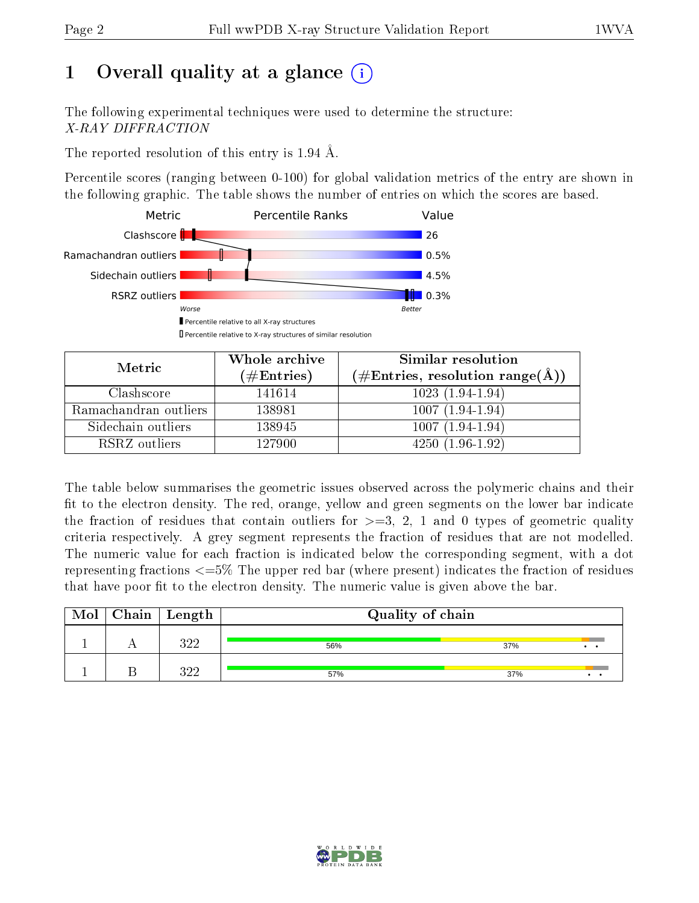# 1 [O](https://www.wwpdb.org/validation/2017/XrayValidationReportHelp#overall_quality)verall quality at a glance  $(i)$

The following experimental techniques were used to determine the structure: X-RAY DIFFRACTION

The reported resolution of this entry is 1.94 Å.

Percentile scores (ranging between 0-100) for global validation metrics of the entry are shown in the following graphic. The table shows the number of entries on which the scores are based.



| Metric                | Whole archive<br>$(\#\text{Entries})$ | Similar resolution<br>$(\#\text{Entries}, \text{resolution range}(\text{\AA}))$ |
|-----------------------|---------------------------------------|---------------------------------------------------------------------------------|
| Clashscore            | 141614                                | $1023(1.94-1.94)$                                                               |
| Ramachandran outliers | 138981                                | $1007(1.94-1.94)$                                                               |
| Sidechain outliers    | 138945                                | $1007(1.94-1.94)$                                                               |
| RSRZ outliers         | 127900                                | $4250(1.96-1.92)$                                                               |

The table below summarises the geometric issues observed across the polymeric chains and their fit to the electron density. The red, orange, yellow and green segments on the lower bar indicate the fraction of residues that contain outliers for  $\geq=3$ , 2, 1 and 0 types of geometric quality criteria respectively. A grey segment represents the fraction of residues that are not modelled. The numeric value for each fraction is indicated below the corresponding segment, with a dot representing fractions  $\epsilon = 5\%$  The upper red bar (where present) indicates the fraction of residues that have poor fit to the electron density. The numeric value is given above the bar.

| Mol | Chain | Length | Quality of chain |                        |  |  |  |  |
|-----|-------|--------|------------------|------------------------|--|--|--|--|
|     |       | १११    | 56%              | 37%<br>$\cdot$ $\cdot$ |  |  |  |  |
|     |       | ววว    | 57%              | 37%                    |  |  |  |  |

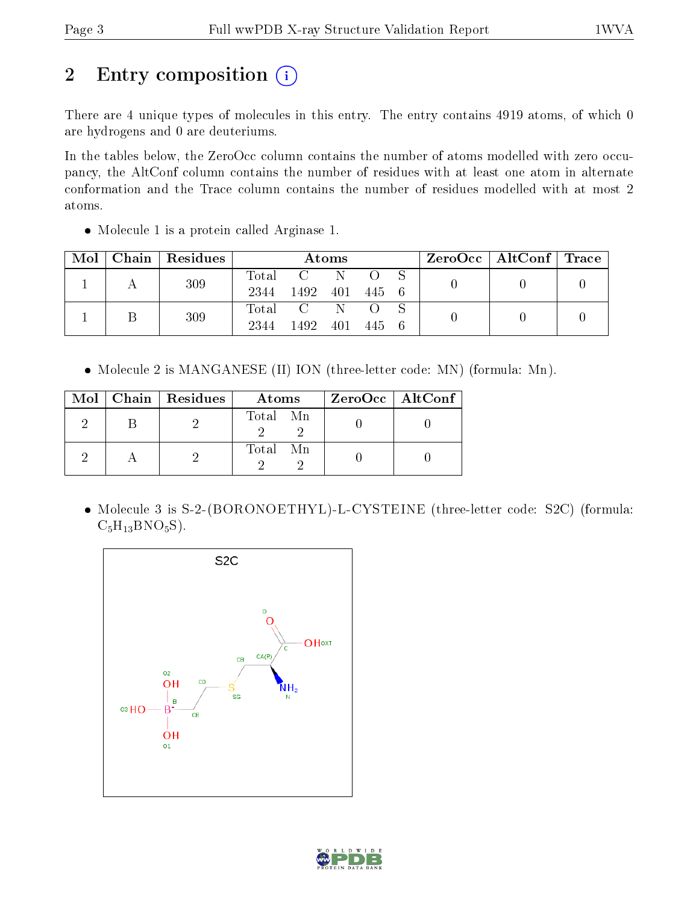# 2 Entry composition (i)

There are 4 unique types of molecules in this entry. The entry contains 4919 atoms, of which 0 are hydrogens and 0 are deuteriums.

In the tables below, the ZeroOcc column contains the number of atoms modelled with zero occupancy, the AltConf column contains the number of residues with at least one atom in alternate conformation and the Trace column contains the number of residues modelled with at most 2 atoms.

• Molecule 1 is a protein called Arginase 1.

| Mol |  | Chain   Residues |      |                | Atoms   |     | $\text{ZeroOcc} \mid \text{AltConf} \mid \text{Trace}$ |  |
|-----|--|------------------|------|----------------|---------|-----|--------------------------------------------------------|--|
|     |  | 309              |      | Total C        | -N-     |     |                                                        |  |
|     |  |                  | 2344 | 1492 401 445 6 |         |     |                                                        |  |
|     |  | 309              |      | Total C        |         |     |                                                        |  |
|     |  |                  | 2344 | 1492           | 401 445 | - 6 |                                                        |  |

• Molecule 2 is MANGANESE (II) ION (three-letter code: MN) (formula: Mn).

|  | $Mol$   Chain   Residues | Atoms    | ZeroOcc   AltConf |
|--|--------------------------|----------|-------------------|
|  |                          | Total Mn |                   |
|  |                          | Total Mn |                   |

 Molecule 3 is S-2-(BORONOETHYL)-L-CYSTEINE (three-letter code: S2C) (formula:  $C_5H_{13}BNO_5S$ .



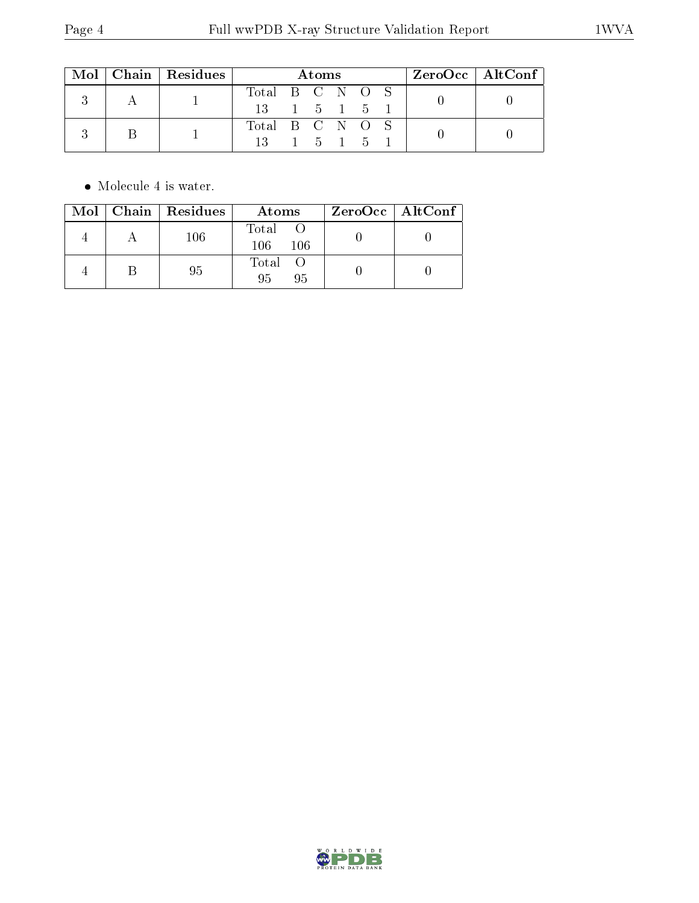|  |  | $\text{Mol}$   Chain   Residues | Atoms                                        |                 |  |  |                               | $ZeroOcc \   \ AltConf$ |  |  |
|--|--|---------------------------------|----------------------------------------------|-----------------|--|--|-------------------------------|-------------------------|--|--|
|  |  |                                 | Total B C N O S                              |                 |  |  |                               |                         |  |  |
|  |  |                                 | $13 \quad 1 \quad 5 \quad 1 \quad 5 \quad 1$ |                 |  |  |                               |                         |  |  |
|  |  |                                 |                                              | Total B C N O S |  |  |                               |                         |  |  |
|  |  |                                 | 13 -                                         |                 |  |  | $1\quad 5\quad 1\quad 5\quad$ |                         |  |  |

 $\bullet\,$  Molecule 4 is water.

|  | Mol   Chain   Residues | Atoms               | ZeroOcc   AltConf |
|--|------------------------|---------------------|-------------------|
|  | 106                    | Total<br>106<br>106 |                   |
|  | 95                     | Total O<br>95<br>95 |                   |

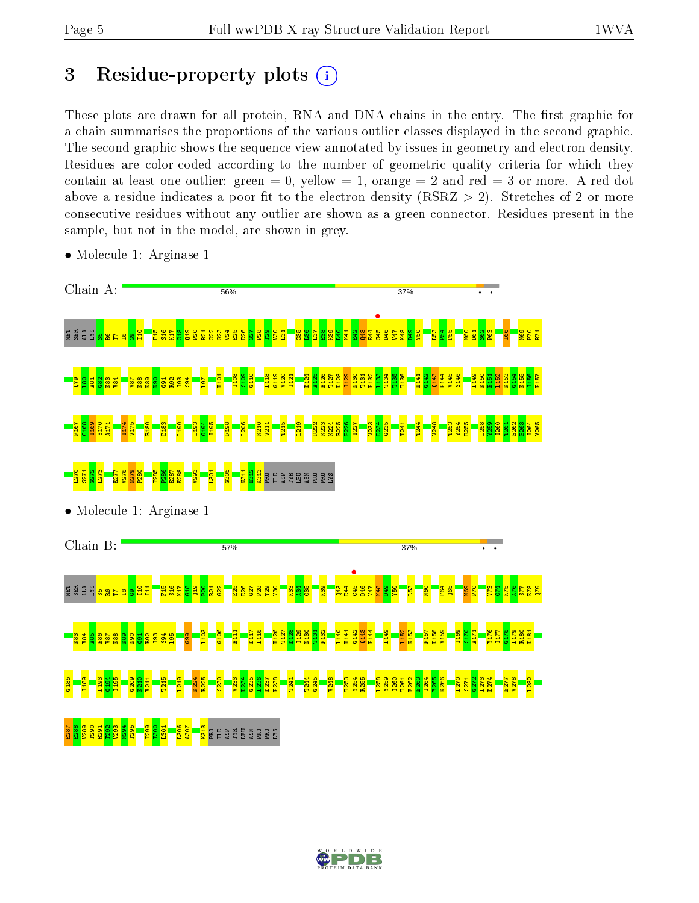## 3 Residue-property plots  $(i)$

These plots are drawn for all protein, RNA and DNA chains in the entry. The first graphic for a chain summarises the proportions of the various outlier classes displayed in the second graphic. The second graphic shows the sequence view annotated by issues in geometry and electron density. Residues are color-coded according to the number of geometric quality criteria for which they contain at least one outlier: green  $= 0$ , yellow  $= 1$ , orange  $= 2$  and red  $= 3$  or more. A red dot above a residue indicates a poor fit to the electron density (RSRZ  $> 2$ ). Stretches of 2 or more consecutive residues without any outlier are shown as a green connector. Residues present in the sample, but not in the model, are shown in grey.



• Molecule 1: Arginase 1

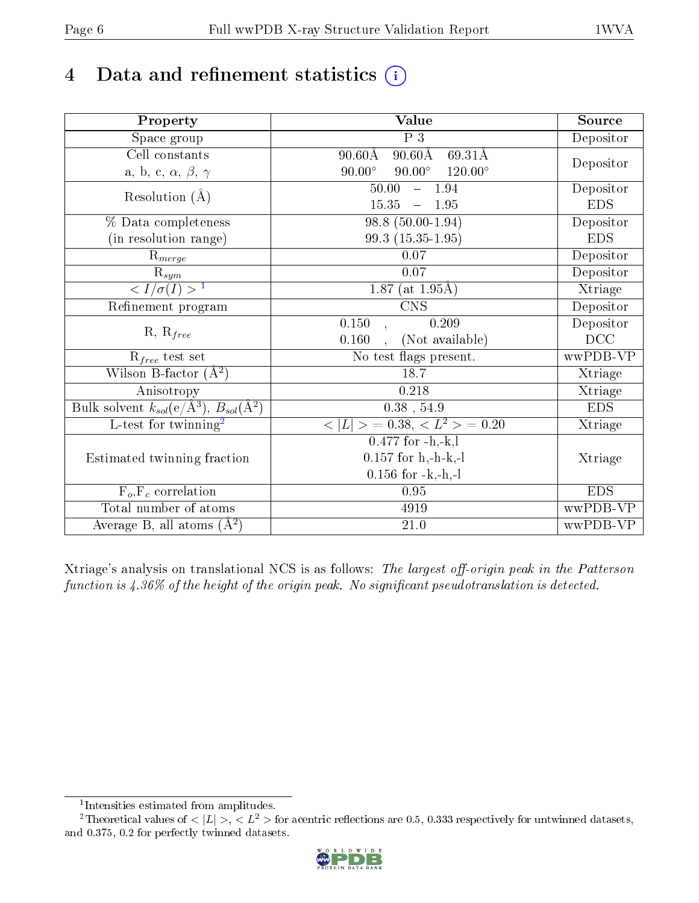# 4 Data and refinement statistics  $(i)$

| Property                                                         | Value                                               | Source     |
|------------------------------------------------------------------|-----------------------------------------------------|------------|
| Space group                                                      | $\overline{P}3$                                     | Depositor  |
| $\overline{\text{Cell}}$ constants                               | $90.60$ Å<br>$90.60\text{\AA}$<br>$69.31\text{\AA}$ |            |
| a, b, c, $\alpha$ , $\beta$ , $\gamma$                           | $90.00^\circ$<br>$90.00^{\circ}$<br>$120.00^\circ$  | Depositor  |
| Resolution $(A)$                                                 | 50.00<br>$-1.94$                                    | Depositor  |
|                                                                  | 15.35<br>1.95                                       | <b>EDS</b> |
| % Data completeness                                              | $98.8(50.00-1.94)$                                  | Depositor  |
| (in resolution range)                                            | 99.3 (15.35-1.95)                                   | <b>EDS</b> |
| $R_{merge}$                                                      | $0.07\,$                                            | Depositor  |
| $\mathrm{R}_{sym}$                                               | 0.07                                                | Depositor  |
| $\langle I/\sigma(I) \rangle^{-1}$                               | $\overline{1.87}$ (at 1.95Å)                        | Xtriage    |
| Refinement program                                               | <b>CNS</b>                                          | Depositor  |
| $R, R_{free}$                                                    | 0.150<br>0.209<br>$\overline{1}$                    | Depositor  |
|                                                                  | (Not available)<br>0.160                            | DCC        |
| $R_{free}$ test set                                              | No test flags present.                              | wwPDB-VP   |
| Wilson B-factor $(A^2)$                                          | 18.7                                                | Xtriage    |
| Anisotropy                                                       | 0.218                                               | Xtriage    |
| Bulk solvent $k_{sol}(\text{e}/\text{A}^3), B_{sol}(\text{A}^2)$ | $0.38$ , 54.9                                       | <b>EDS</b> |
| L-test for twinning <sup>2</sup>                                 | $< L >$ = 0.38, $< L2$ = 0.20                       | Xtriage    |
|                                                                  | $0.477$ for $-h,-k,l$                               |            |
| Estimated twinning fraction                                      | $0.157$ for h,-h-k,-l                               | Xtriage    |
|                                                                  | $0.156$ for $-k,-h,-l$                              |            |
| $\overline{F_o,F_c}$ correlation                                 | 0.95                                                | <b>EDS</b> |
| Total number of atoms                                            | 4919                                                | wwPDB-VP   |
| Average B, all atoms $(A^2)$                                     | $21.0\,$                                            | wwPDB-VP   |

Xtriage's analysis on translational NCS is as follows: The largest off-origin peak in the Patterson function is  $4.36\%$  of the height of the origin peak. No significant pseudotranslation is detected.

<sup>&</sup>lt;sup>2</sup>Theoretical values of  $\langle |L| \rangle$ ,  $\langle L^2 \rangle$  for acentric reflections are 0.5, 0.333 respectively for untwinned datasets, and 0.375, 0.2 for perfectly twinned datasets.



<span id="page-5-1"></span><span id="page-5-0"></span><sup>1</sup> Intensities estimated from amplitudes.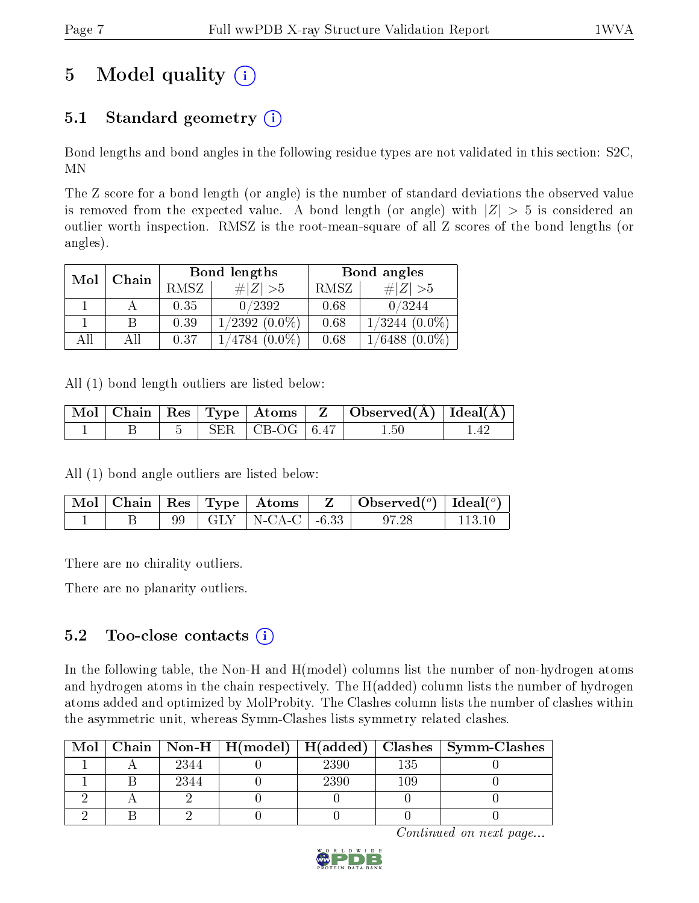# 5 Model quality  $(i)$

### 5.1 Standard geometry  $(i)$

Bond lengths and bond angles in the following residue types are not validated in this section: S2C, MN

The Z score for a bond length (or angle) is the number of standard deviations the observed value is removed from the expected value. A bond length (or angle) with  $|Z| > 5$  is considered an outlier worth inspection. RMSZ is the root-mean-square of all Z scores of the bond lengths (or angles).

| Mol | Chain |      | Bond lengths     | Bond angles |                    |  |
|-----|-------|------|------------------|-------------|--------------------|--|
|     |       | RMSZ | $\# Z >5$        | RMSZ        | $\# Z  > 5$        |  |
|     |       | 0.35 | 0/2392           | 0.68        | 0/3244             |  |
|     |       | 0.39 | $1/2392(0.0\%)$  | 0.68        | $1/3244~(0.0\%)$   |  |
| All | АH    | 0.37 | $1/4784~(0.0\%)$ | 0.68        | $1/6488$ $(0.0\%)$ |  |

All (1) bond length outliers are listed below:

|  |  |                          | $\mid$ Mol $\mid$ Chain $\mid$ Res $\mid$ Type $\mid$ Atoms $\mid$ Z $\mid$ Observed(A) $\mid$ Ideal(A) $\mid$ |  |
|--|--|--------------------------|----------------------------------------------------------------------------------------------------------------|--|
|  |  | $5$   SER   CB-OG   6.47 | $1.50\,$                                                                                                       |  |

All (1) bond angle outliers are listed below:

|  |  |                           | $\mid$ Mol $\mid$ Chain $\mid$ Res $\mid$ Type $\mid$ Atoms $\mid$ Z $\mid$ Observed( <sup>o</sup> ) $\mid$ Ideal( <sup>o</sup> ) |         |
|--|--|---------------------------|-----------------------------------------------------------------------------------------------------------------------------------|---------|
|  |  | 99   GLY   N-CA-C   -6.33 | 97.28                                                                                                                             | -113-10 |

There are no chirality outliers.

There are no planarity outliers.

### 5.2 Too-close contacts  $\overline{()}$

In the following table, the Non-H and H(model) columns list the number of non-hydrogen atoms and hydrogen atoms in the chain respectively. The H(added) column lists the number of hydrogen atoms added and optimized by MolProbity. The Clashes column lists the number of clashes within the asymmetric unit, whereas Symm-Clashes lists symmetry related clashes.

|  |      |      |          | Mol   Chain   Non-H   H(model)   H(added)   Clashes   Symm-Clashes |
|--|------|------|----------|--------------------------------------------------------------------|
|  | 2344 | 2390 | 135      |                                                                    |
|  | 2344 | 2390 | $109 \,$ |                                                                    |
|  |      |      |          |                                                                    |
|  |      |      |          |                                                                    |

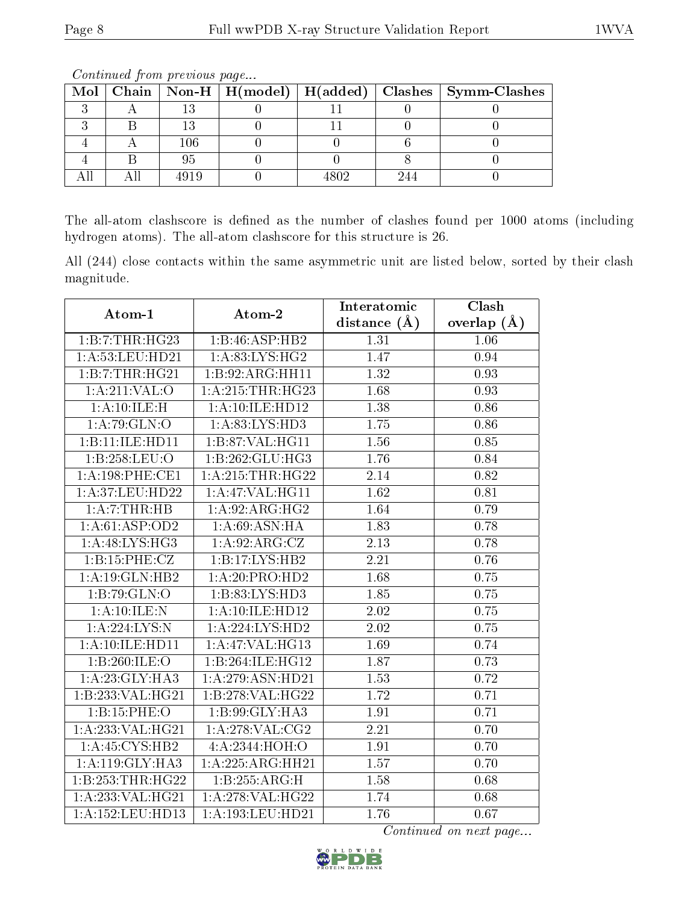|  |     |      | Mol   Chain   Non-H   H(model)   H(added)   Clashes   Symm-Clashes |
|--|-----|------|--------------------------------------------------------------------|
|  |     |      |                                                                    |
|  |     |      |                                                                    |
|  | 106 |      |                                                                    |
|  |     |      |                                                                    |
|  |     | 1800 |                                                                    |

The all-atom clashscore is defined as the number of clashes found per 1000 atoms (including hydrogen atoms). The all-atom clashscore for this structure is 26.

All (244) close contacts within the same asymmetric unit are listed below, sorted by their clash magnitude.

| Atom-1                              | Atom-2                      | Interatomic       | Clash         |
|-------------------------------------|-----------------------------|-------------------|---------------|
|                                     |                             | distance $(A)$    | overlap $(A)$ |
| 1:B:7:THR:HG23                      | 1:B:46:ASP:HB2              | 1.31              | 1.06          |
| $1: A: 53: \text{LEU}: \text{HD}21$ | 1: A:83:LYS:HG2             | 1.47              | 0.94          |
| 1:B:7:THR:HG21                      | 1:B:92:ARG:HH11             | 1.32              | 0.93          |
| $1:A:211:VAL:$ O                    | 1: A:215:THR:HG23           | 1.68              | 0.93          |
| 1:A:10:ILE:H                        | 1:A:10:ILE:HD12             | 1.38              | 0.86          |
| 1:A:79:GLN:O                        | 1:A:83:LYS:HD3              | 1.75              | 0.86          |
| 1:B:11:ILE:HD11                     | 1:B:87:VAL:HG11             | 1.56              | 0.85          |
| 1:B:258:LEU:O                       | 1:B:262:GLU:HG3             | 1.76              | 0.84          |
| 1:A:198:PHE:CE1                     | 1: A:215:THR:HG22           | 2.14              | 0.82          |
| 1:A:37:LEU:HD22                     | $1:$ A:47:VAL:HG11          | 1.62              | 0.81          |
| 1:A:7:THR:HB                        | 1: A:92: ARG: HG2           | 1.64              | 0.79          |
| 1:A:61:ASP:OD2                      | 1:A:69:ASN:HA               | $\overline{1.83}$ | 0.78          |
| 1:A:48:LYS:HG3                      | 1: A:92: ARG: CZ            | 2.13              | 0.78          |
| 1:B:15:PHE:CZ                       | 1:B:17:LYS:HB2              | 2.21              | 0.76          |
| 1:A:19:GLN:HB2                      | $1:A:20:P\overline{RO:HD2}$ | 1.68              | 0.75          |
| 1:B:79:GLN:O                        | 1:B:83:LYS:HD3              | 1.85              | 0.75          |
| 1:A:10:ILE:N                        | 1:A:10:ILE:HD12             | $\overline{2.02}$ | 0.75          |
| 1: A:224: LYS:N                     | 1:A:224:LYS:HD2             | 2.02              | 0.75          |
| 1:A:10:ILE:HD11                     | 1:A:47:VAL:H <sub>G13</sub> | 1.69              | 0.74          |
| 1:B:260:ILE:O                       | 1:B:264:ILE:HG12            | 1.87              | 0.73          |
| 1:A:23:GLY:HA3                      | 1:A:279:ASN:HD21            | 1.53              | 0.72          |
| 1:B:233:VAL:HG21                    | 1:B:278:VAL:HG22            | 1.72              | 0.71          |
| 1:B:15:PHE:O                        | $1:B:99:GLY:\overline{HAS}$ | 1.91              | 0.71          |
| 1:A:233:VAL:HG21                    | $1:$ A:278:VAL:CG2          | $\overline{2.21}$ | 0.70          |
| 1:A:45:CYS:HB2                      | 4:A:2344:HOH:O              | 1.91              | 0.70          |
| 1: A:119: GLY:HA3                   | 1:A:225:ARG:HH21            | 1.57              | 0.70          |
| 1:B:253:THR:HG22                    | 1:B:255:ARG:H               | 1.58              | 0.68          |
| 1:A:233:VAL:HG21                    | 1:A:278:VAL:HG22            | 1.74              | 0.68          |
| 1: A: 152: LEU: HD13                | 1:A:193:LEU:HD21            | 1.76              | 0.67          |

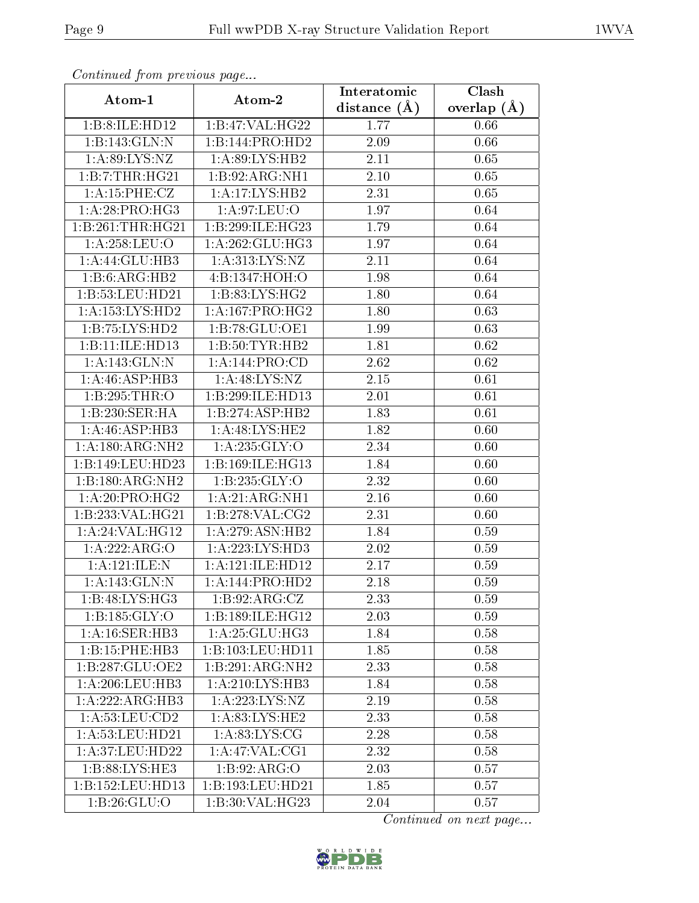| Commuca from previous page |                                | Interatomic    | Clash         |  |
|----------------------------|--------------------------------|----------------|---------------|--|
| Atom-1                     | Atom-2                         | distance $(A)$ | overlap $(A)$ |  |
| 1:B:8:ILE:HD12             | 1:B:47:VAL:H G22               | 1.77           | 0.66          |  |
| 1:B:143:GLN:N              | 1:B:144:PRO:HD2                | 2.09           | 0.66          |  |
| 1: A:89: LYS: NZ           | 1:A:89:LYS:HB2                 | 2.11           | 0.65          |  |
| 1:B:7:THR:HG21             | 1:B:92:ARG:NH1                 | 2.10           | 0.65          |  |
| 1: A: 15: PHE: CZ          | 1:A:17:LYS:HB2                 | 2.31           | 0.65          |  |
| 1: A:28: PRO:HG3           | 1:A:97:LEU:O                   | 1.97           | 0.64          |  |
| 1:B:261:THR:HG21           | 1:B:299:ILE:HG23               | 1.79           | 0.64          |  |
| 1: A:258:LEU:O             | 1: A:262: GLU:HG3              | 1.97           | 0.64          |  |
| 1:A:44:GLU:HB3             | 1:A:313:LYS:NZ                 | 2.11           | 0.64          |  |
| 1:B:6:ARG:HB2              | 4:B:1347:HOH:O                 | 1.98           | 0.64          |  |
| 1:B:53:LEU:HD21            | 1: B:83: LYS: HG2              | 1.80           | 0.64          |  |
| 1:A:153:LYS:HD2            | 1: A: 167: PRO:HG2             | 1.80           | 0.63          |  |
| 1:B:75:LYS:HD2             | 1:B:78:GLU:OE1                 | 1.99           | 0.63          |  |
| 1:B:11:ILE:HD13            | 1: B:50: TYR: HB2              | 1.81           | 0.62          |  |
| 1:A:143:GLN:N              | 1:A:144:PRO:CD                 | 2.62           | 0.62          |  |
| 1:A:46:ASP:HB3             | 1: A:48: LYS: NZ               | 2.15           | 0.61          |  |
| 1:B:295:THR:O              | 1:B:299:ILE:HD13               | 2.01           | 0.61          |  |
| 1:B:230:SER:HA             | 1:B:274:ASP:HB2                | 1.83           | 0.61          |  |
| 1:A:46:ASP:HB3             | 1:A:48:LYS:HE2                 | 1.82           | 0.60          |  |
| 1:A:180:ARG:NH2            | 1: A:235: GLY:O                | 2.34           | 0.60          |  |
| 1:B:149:LEU:HD23           | 1:B:169:ILE:HG13               | 1.84           | 0.60          |  |
| 1:B:180:ARG:NH2            | 1: B: 235: GLY:O               | 2.32           | 0.60          |  |
| 1: A:20: PRO:HG2           | 1:A:21:ARG:NH1                 | 2.16           | 0.60          |  |
| 1:B:233:VAL:HG21           | 1: B: 278: VAL: CG2            | 2.31           | 0.60          |  |
| 1:A:24:VAL:HG12            | 1:A:279:ASN:HB2                | 1.84           | 0.59          |  |
| 1:A:222:ARG:O              | 1:A:223:LYS:HD3                | 2.02           | 0.59          |  |
| 1:A:121:ILE:N              | 1:A:121:ILE:HD12               | 2.17           | 0.59          |  |
| 1: A:143: GLN:N            | 1:A:144:PRO:HD2                | 2.18           | 0.59          |  |
| 1:B:48:LYS:HG3             | 1:B:92:ARG:CZ                  | 2.33           | 0.59          |  |
| 1:B:185:GLY:O              | 1:B:189:ILE:HG12               | 2.03           | 0.59          |  |
| 1: A:16: SER:HB3           | 1: A:25: GLU:HG3               | 1.84           | 0.58          |  |
| 1:B:15:PHE:HB3             | 1:B:103:LEU:HD11               | 1.85           | 0.58          |  |
| 1:B:287:GLU:OE2            | 1:B:291:ARG:NH2                | 2.33           | 0.58          |  |
| 1: A:206:LEU:HB3           | 1: A:210: LYS: HB3             | 1.84           | 0.58          |  |
| 1:A:222:ARG:HB3            | 1: A: 223: LYS: NZ             | 2.19           | 0.58          |  |
| 1:A:53:LEU:CD2             | 1: A:83: LYS: HE2              | 2.33           | 0.58          |  |
| 1: A:53:LEU:HD21           | 1: A:83: LYS: CG               | 2.28           | 0.58          |  |
| 1:A:37:LEU:HD22            | 1:A:47:VAL:CG1                 | 2.32           | 0.58          |  |
| 1:B:88:LYS:HE3             | 1: B:92: ARG:O                 | 2.03           | 0.57          |  |
| 1:B:152:LEU:HD13           | 1:B:193:LEU:HD21               | 1.85           | 0.57          |  |
| 1: B:26: GLU:O             | $1:B:30:VAL$ $\overline{HG23}$ | 2.04           | 0.57          |  |

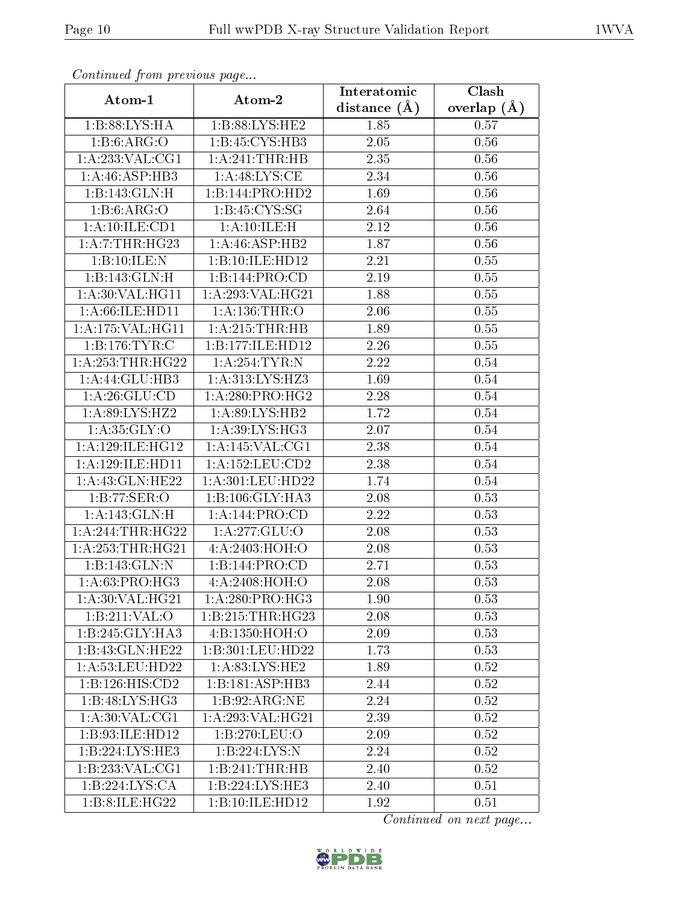| Continuea from previous page |                    | Interatomic    | Clash         |  |
|------------------------------|--------------------|----------------|---------------|--|
| Atom-1                       | Atom-2             | distance $(A)$ | overlap $(A)$ |  |
| 1:B:88:LYS:HA                | 1:B:88:LYS:HE2     | 1.85           | 0.57          |  |
| 1:B:6:ARG:O                  | 1:B:45:CYS:HB3     | 2.05           | 0.56          |  |
| 1:A:233:VAL:CG1              | 1:A:241:THR:HB     | 2.35           | 0.56          |  |
| 1:A:46:ASP:HB3               | 1:A:48:LYS:CE      | 2.34           | 0.56          |  |
| 1:B:143:GLN:H                | 1:B:144:PRO:HD2    | 1.69           | 0.56          |  |
| $1:B:6:ARG:\overline{O}$     | 1: B: 45: CYS: SG  | 2.64           | 0.56          |  |
| 1:A:10:ILE:CD1               | 1: A: 10: ILE:H    | 2.12           | 0.56          |  |
| 1: A: 7:THR: HG23            | 1:A:46:ASP:HB2     | 1.87           | 0.56          |  |
| 1:B:10:ILE:N                 | 1:B:10:ILE:HD12    | 2.21           | 0.55          |  |
| 1:B:143:GLN:H                | 1:B:144:PRO:CD     | 2.19           | 0.55          |  |
| 1: A:30: VAL:HGI1            | 1: A:293: VAL:HG21 | 1.88           | 0.55          |  |
| 1: A:66: ILE: HD11           | 1:A:136:THR:O      | 2.06           | 0.55          |  |
| 1:A:175:VAL:HG11             | 1:A:215:THR:HB     | 1.89           | 0.55          |  |
| 1:B:176:TYR:C                | 1:B:177:ILE:HD12   | 2.26           | 0.55          |  |
| 1: A: 253: THR: HG22         | 1:A:254:TYR:N      | 2.22           | 0.54          |  |
| 1: A:44: GLU:HB3             | 1:A:313:LYS:HZ3    | 1.69           | 0.54          |  |
| 1: A:26: GLU:CD              | 1: A:280:PRO:HG2   | 2.28           | 0.54          |  |
| 1:A:89:LYS:HZ2               | 1:A:89:LYS:HB2     | 1.72           | 0.54          |  |
| 1: A: 35: GLY: O             | 1: A:39: LYS: HG3  | 2.07           | 0.54          |  |
| 1: A:129: ILE: HG12          | 1:A:145:VAL:CG1    | 2.38           | 0.54          |  |
| 1:A:129:ILE:HD11             | 1:A:152:LEU:CD2    | 2.38           | 0.54          |  |
| 1: A: 43: GLN: HE22          | 1:A:301:LEU:HD22   | 1.74           | 0.54          |  |
| 1:B:77:SER:O                 | 1:B:106:GLY:HA3    | 2.08           | 0.53          |  |
| 1:A:143:GLN:H                | 1: A:144: PRO:CD   | 2.22           | 0.53          |  |
| 1:A:244:THR:HG22             | 1: A:277: GLU:O    | 2.08           | 0.53          |  |
| 1: A: 253: THR: HG21         | 4:A:2403:HOH:O     | 2.08           | 0.53          |  |
| 1:B:143:GLN:N                | 1:B:144:PRO:CD     | 2.71           | 0.53          |  |
| 1: A:63: PRO:HG3             | 4: A:2408:HOH:O    | 2.08           | 0.53          |  |
| 1:A:30:VAL:HG21              | 1: A:280: PRO:HG3  | 1.90           | 0.53          |  |
| 1:B:211:VAL:O                | 1:B:215:THR:HG23   | 2.08           | 0.53          |  |
| $1:B:245:GLY:H\,A3$          | 4: B: 1350: HOH:O  | 2.09           | 0.53          |  |
| 1:B:43:GLN:HE22              | 1:B:301:LEU:HD22   | 1.73           | 0.53          |  |
| 1: A:53:LEU:HD22             | 1: A:83: LYS: HE2  | 1.89           | 0.52          |  |
| 1:B:126:HIS:CD2              | 1:B:181:ASP:HB3    | 2.44           | 0.52          |  |
| 1:B:48:LYS:HG3               | 1:B:92:ARG:NE      | 2.24           | 0.52          |  |
| 1: A:30: VAL:CG1             | 1:A:293:VAL:HG21   | 2.39           | 0.52          |  |
| 1:B:93:ILE:HD12              | 1:B:270:LEU:O      | 2.09           | 0.52          |  |
| 1:B:224:LYS:HE3              | 1:B:224:LYS:N      | 2.24           | 0.52          |  |
| 1: B: 233: VAL: CG1          | 1:B:241:THR:HB     | 2.40           | 0.52          |  |
| 1:B:224:LYS:CA               | 1:B:224:LYS:HE3    | 2.40           | 0.51          |  |
| 1:B:8:ILE:HG22               | 1:B:10:ILE:HD12    | 1.92           | 0.51          |  |

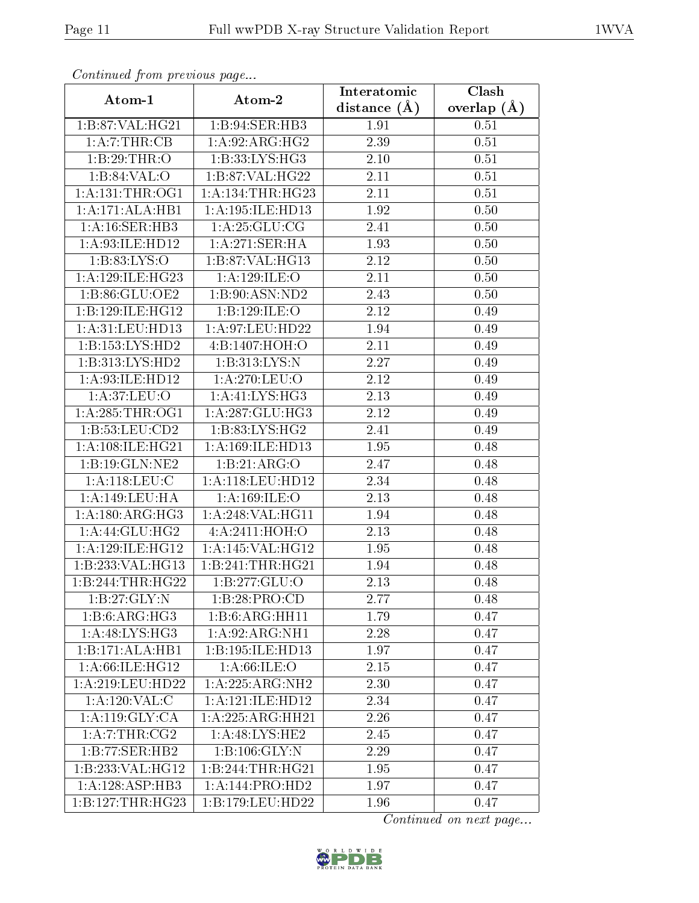| Continuea from previous page                       |                      | Interatomic    | Clash         |  |
|----------------------------------------------------|----------------------|----------------|---------------|--|
| Atom-1                                             | Atom-2               | distance $(A)$ | overlap $(A)$ |  |
| 1:B:87:VAL:HG21                                    | 1:B:94:SER:HB3       | 1.91           | 0.51          |  |
| 1:A:7:THR:CB                                       | 1:A:92:ARG:HG2       | 2.39           | 0.51          |  |
| 1:B:29:THR:O                                       | 1:B:33:LYS:HG3       | $2.10\,$       | 0.51          |  |
| 1:B:84:VAL:O                                       | 1:B:87:VAL:HG22      | 2.11           | 0.51          |  |
| 1: A: 131: THE: OG1                                | 1: A: 134: THR: HG23 | 2.11           | 0.51          |  |
| 1:A:171:ALA:HB1                                    | 1:A:195:ILE:HD13     | 1.92           | 0.50          |  |
| 1:A:16:SER:HB3                                     | 1: A:25: GLU:CG      | 2.41           | 0.50          |  |
| 1: A:93: ILE: HD12                                 | 1: A:271:SER:HA      | 1.93           | 0.50          |  |
| 1: B: 83: LYS: O                                   | 1:B:87:VAL:HG13      | 2.12           | 0.50          |  |
| 1: A:129: ILE: HG23                                | 1:A:129:ILE:O        | 2.11           | 0.50          |  |
| 1: B:86: GLU:OE2                                   | 1:B:90:ASN:ND2       | 2.43           | 0.50          |  |
| 1:B:129:ILE:HG12                                   | 1:B:129:ILE:O        | 2.12           | 0.49          |  |
| 1: A:31: LEU: HD13                                 | 1: A:97:LEU:HD22     | 1.94           | 0.49          |  |
| 1:B:153:LYS:HD2                                    | 4:B:1407:HOH:O       | 2.11           | 0.49          |  |
| 1:B:313:LYS:HD2                                    | 1:B:313:LYS:N        | 2.27           | 0.49          |  |
| 1: A:93: ILE: HD12                                 | 1: A:270:LEU:O       | 2.12           | 0.49          |  |
| 1: A:37: LEU:O                                     | 1: A:41: LYS:HG3     | 2.13           | 0.49          |  |
| 1: A:285:THR:OG1                                   | 1: A:287: GLU:HG3    | 2.12           | 0.49          |  |
| 1:B:53:LEU:CD2                                     | 1: B: 83: LYS: HG2   | 2.41           | 0.49          |  |
| 1: A:108: ILE: HG <sub>21</sub>                    | 1:A:169:ILE:HD13     | 1.95           | 0.48          |  |
| 1:B:19:GLN:NE2                                     | 1:B:21:ARG:O         | 2.47           | 0.48          |  |
| 1: A:118: LEU: C                                   | 1:A:118:LEU:HD12     | 2.34           | 0.48          |  |
| 1:A:149:LEU:HA                                     | 1: A: 169: ILE: O    | 2.13           | 0.48          |  |
| 1: A: 180: ARG: HG3                                | 1:A:248:VAL:HG11     | 1.94           | 0.48          |  |
| 1: A:44: GLU:HG2                                   | 4:A:2411:HOH:O       | 2.13           | 0.48          |  |
| 1: A:129: ILE: HG12                                | 1:A:145:VAL:HG12     | 1.95           | 0.48          |  |
| 1:B:233:VAL:HG13                                   | 1:B:241:THR:HG21     | 1.94           | 0.48          |  |
| 1:B:244:THR:HG22                                   | 1: B: 277: GLU: O    | 2.13           | 0.48          |  |
| $1:B:27:\overline{\text{GLY}}:\overline{\text{N}}$ | 1:B:28:PRO:CD        | 2.77           | 0.48          |  |
| 1:B:6:ARG:HG3                                      | 1:B:6:ARG:HH11       | 1.79           | 0.47          |  |
| 1: A:48: LYS: HG3                                  | 1:A:92:ARG:NH1       | 2.28           | 0.47          |  |
| 1:B:171:ALA:HB1                                    | 1:B:195:ILE:HD13     | 1.97           | 0.47          |  |
| 1: A:66: ILE: HG12                                 | 1: A:66: ILE: O      | 2.15           | 0.47          |  |
| 1:A:219:LEU:HD22                                   | 1:A:225:ARG:NH2      | 2.30           | 0.47          |  |
| 1:A:120:VAL:CC                                     | 1:A:121:ILE:HD12     | 2.34           | 0.47          |  |
| 1:A:119:GLY:CA                                     | 1:A:225:ARG:HH21     | 2.26           | 0.47          |  |
| 1:A:7:THR:CG2                                      | 1: A:48: LYS: HE2    | 2.45           | 0.47          |  |
| 1:B:77:SER:HB2                                     | 1:B:106:GLY:N        | 2.29           | 0.47          |  |
| 1:B:233:VAL:HG12                                   | 1:B:244:THR:HG21     | 1.95           | 0.47          |  |
| 1:A:128:ASP:HB3                                    | 1:A:144:PRO:HD2      | 1.97           | 0.47          |  |
| 1:B:127:THR:HG23                                   | 1:B:179:LEU:HD22     | 1.96           | 0.47          |  |

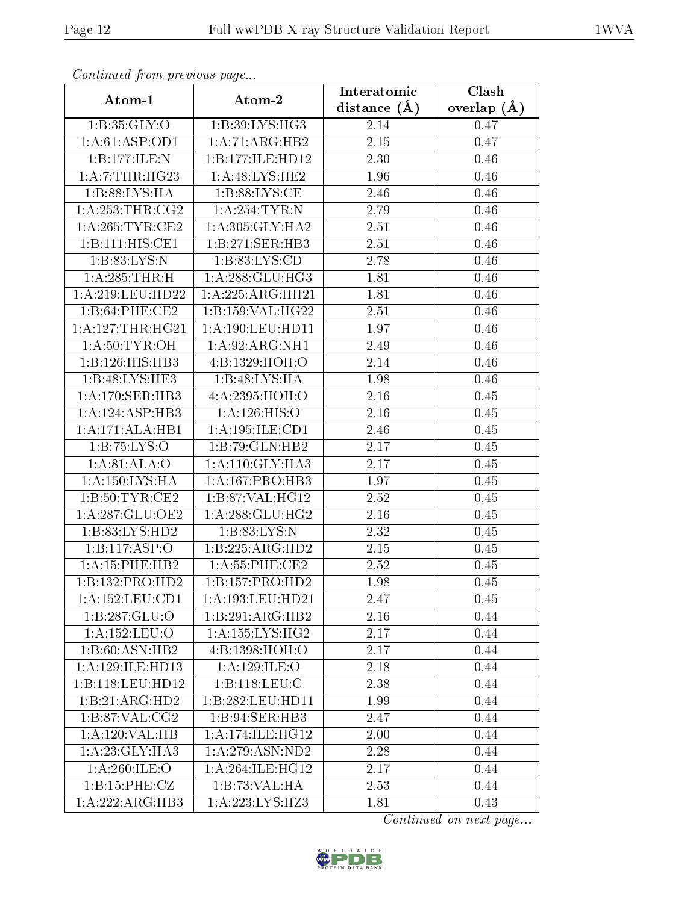| Continuatu jibin previous puge |                              | Interatomic       | Clash           |
|--------------------------------|------------------------------|-------------------|-----------------|
| Atom-1                         | Atom-2                       | distance $(\AA)$  | overlap $(\AA)$ |
| 1:B:35:GLY:O                   | 1:B:39:LYS:HG3               | 2.14              | 0.47            |
| 1:A:61:ASP:OD1                 | 1:A:71:ARG:HB2               | $\overline{2.15}$ | 0.47            |
| 1:B:177:JLE:N                  | 1:B:177:ILE:HD12             | 2.30              | 0.46            |
| 1: A: 7:THR: HG23              | 1: A:48: LYS: HE2            | 1.96              | 0.46            |
| 1:B:88:LYS:HA                  | 1: B:88: LYS:CE              | 2.46              | 0.46            |
| 1: A:253:THR:CG2               | 1: A:254:TYR:N               | 2.79              | 0.46            |
| 1: A:265:TYR:CE2               | 1: A:305: GLY:HA2            | $\overline{2}.51$ | 0.46            |
| 1:B:111:HIS:CE1                | 1:B:271:SER:HB3              | 2.51              | 0.46            |
| 1:B:83:LYS:N                   | 1: B: 83: LYS: CD            | 2.78              | 0.46            |
| 1:A:285:THR:H                  | 1: A:288: GLU:HG3            | 1.81              | 0.46            |
| 1: A:219: LEU: HD22            | 1:A:225:ARG:HH21             | 1.81              | 0.46            |
| 1:B:64:PHE:CE2                 | 1:B:159:VAL:HG22             | 2.51              | 0.46            |
| 1: A: 127: THR: HG21           | 1:A:190:LEU:HD11             | 1.97              | 0.46            |
| 1: A:50: TYR:OH                | 1:A:92:ARG:NH1               | 2.49              | 0.46            |
| 1:B:126:HIS:HB3                | 4:B:1329:HOH:O               | 2.14              | 0.46            |
| 1:B:48:LYS:HE3                 | 1:B:48:LYS:HA                | 1.98              | 0.46            |
| 1:A:170:SER:HB3                | 4:A:2395:HOH:O               | 2.16              | 0.45            |
| 1:A:124:ASP:HB3                | 1: A: 126: HIS: O            | 2.16              | 0.45            |
| 1:A:171:ALA:HB1                | 1:A:195:ILE:CD1              | 2.46              | 0.45            |
| 1:B:75:LYS:O                   | 1:B:79:GLN:HB2               | 2.17              | 0.45            |
| 1: A:81: ALA:O                 | 1: A:110: GLY:HA3            | 2.17              | 0.45            |
| 1: A: 150: LYS: HA             | 1: A: 167: PRO: HB3          | 1.97              | 0.45            |
| 1:B:50:TYR:CE2                 | 1:B:87:VAL:HG12              | 2.52              | 0.45            |
| 1:A:287:GLU:OE2                | 1: A:288: GLU:HG2            | 2.16              | 0.45            |
| 1:B:83:LYS:HD2                 | 1: B: 83: LYS: N             | 2.32              | 0.45            |
| 1:B:117:ASP:O                  | 1:B:225:ARG:HD2              | 2.15              | 0.45            |
| 1:A:15:PHE:HB2                 | 1:A:55:PHE:CE2               | 2.52              | 0.45            |
| 1:B:132:PRO:HD2                | 1:B:157:PRO:HD2              | 1.98              | 0.45            |
| 1:A:152:LEU:CD1                | 1:A:193:LEU:HD21             | 2.47              | 0.45            |
| 1:B:287:GLU:O                  | 1:B:291:ARG:HB2              | 2.16              | 0.44            |
| 1:A:152:LEU:O                  | $1:A:\overline{155:LYS:HG2}$ | 2.17              | 0.44            |
| 1:B:60:ASN:HB2                 | 4:B:1398:HOH:O               | 2.17              | 0.44            |
| 1: A:129: ILE: HD13            | 1:A:129:ILE:O                | 2.18              | 0.44            |
| 1:B:118:LEU:HD12               | 1:B:118:LEU:C                | 2.38              | 0.44            |
| 1:B:21:ARG:HD2                 | 1:B:282:LEU:HD11             | 1.99              | 0.44            |
| 1: B:87: VAL:CG2               | 1:B:94:SER:HB3               | 2.47              | 0.44            |
| 1:A:120:VAL:HB                 | 1:A:174:ILE:HG12             | 2.00              | 0.44            |
| 1: A:23: GLY:HA3               | 1:A:279:ASN:ND2              | 2.28              | 0.44            |
| 1: A:260: ILE:O                | 1: A:264: ILE: HG12          | 2.17              | 0.44            |
| 1:B:15:PHE:CZ                  | 1:B:73:VAL:HA                | 2.53              | 0.44            |
| 1:A:222:ARG:HB3                | 1:A:223:LYS:HZ3              | 1.81              | 0.43            |

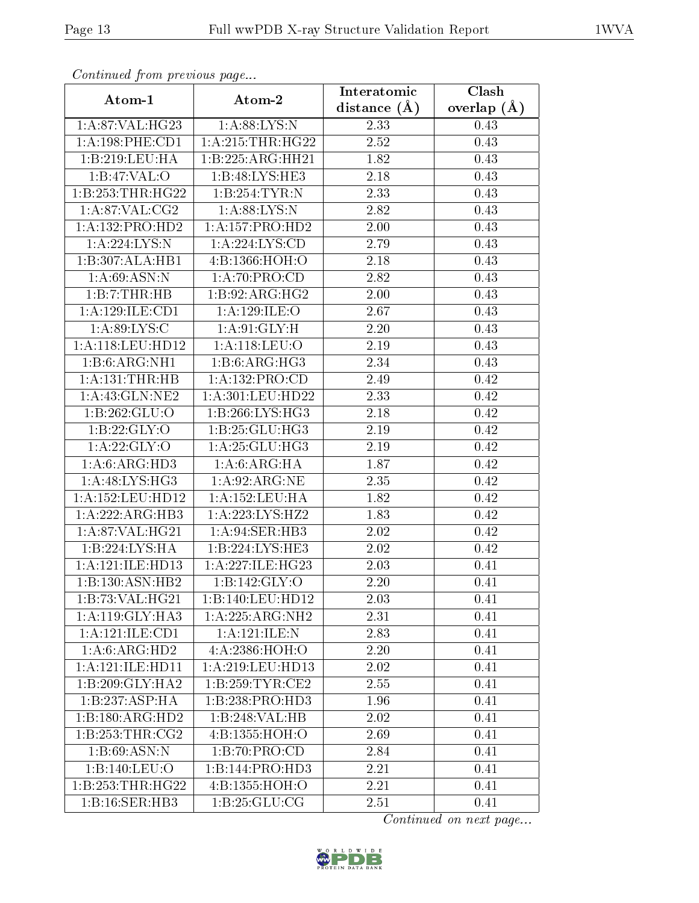| Continuea from previous page |                     | Interatomic       | Clash         |  |
|------------------------------|---------------------|-------------------|---------------|--|
| Atom-1                       | Atom-2              | distance $(A)$    | overlap $(A)$ |  |
| 1: A:87: VAL:HG23            | 1: A:88: LYS: N     | 2.33              | 0.43          |  |
| 1: A: 198: PHE: CD1          | 1: A:215:THR:HG22   | $\overline{2.52}$ | 0.43          |  |
| 1:B:219:LEU:HA               | 1:B:225:ARG:HH21    | 1.82              | 0.43          |  |
| $1:B:47:\overline{VAL:O}$    | 1:B:48:LYS:HE3      | 2.18              | 0.43          |  |
| 1:B:253:THR:HG22             | 1:B:254:TYR:N       | 2.33              | 0.43          |  |
| 1: A:87:VAL:CG2              | 1: A:88: LYS: N     | 2.82              | 0.43          |  |
| 1:A:132:PRO:HD2              | 1: A: 157: PRO: HD2 | $2.00\,$          | 0.43          |  |
| 1:A:224:LYS:N                | 1: A:224:LYS:CD     | 2.79              | 0.43          |  |
| 1:B:307:ALA:HB1              | 4:B:1366:HOH:O      | 2.18              | 0.43          |  |
| 1: A:69: ASN: N              | 1:A:70:PRO:CD       | 2.82              | 0.43          |  |
| 1:B:7:THR:HB                 | 1:B:92:ARG:HG2      | 2.00              | 0.43          |  |
| 1:A:129:ILE:CD1              | 1:A:129:ILE:O       | 2.67              | 0.43          |  |
| 1: A:89: LYS:C               | 1: A:91: GLY: H     | 2.20              | 0.43          |  |
| 1: A:118: LEU: HD12          | 1: A:118: LEU:O     | 2.19              | 0.43          |  |
| 1:B:6:ARG:NH1                | 1:B:6:ARG:HG3       | 2.34              | 0.43          |  |
| 1:A:131:THR:HB               | 1: A: 132: PRO:CD   | 2.49              | 0.42          |  |
| 1: A: 43: GLN: NE2           | 1:A:301:LEU:HD22    | 2.33              | 0.42          |  |
| 1:B:262:GLU:O                | 1:B:266:LYS:HG3     | 2.18              | 0.42          |  |
| 1:B:22:GLY:O                 | 1:B:25:GLU:HG3      | 2.19              | 0.42          |  |
| 1: A:22: GLY:O               | 1:A:25:GLU:HG3      | 2.19              | 0.42          |  |
| 1:A:6:ARG:HD3                | 1: A:6:ARG:HA       | 1.87              | 0.42          |  |
| 1: A:48: LYS: HG3            | 1: A:92: ARG: NE    | 2.35              | 0.42          |  |
| 1:A:152:LEU:HD12             | 1:A:152:LEU:HA      | 1.82              | 0.42          |  |
| 1:A:222:ARG:HB3              | 1:A:223:LYS:HZ2     | 1.83              | 0.42          |  |
| 1:A:87:VAL:HG21              | 1:A:94:SER:HB3      | 2.02              | 0.42          |  |
| 1:B:224:LYS:HA               | 1:B:224:LYS:HE3     | $\overline{2}.02$ | 0.42          |  |
| 1:A:121:ILE:HD13             | 1:A:227:ILE:HG23    | 2.03              | 0.41          |  |
| 1:B:130:ASN:HB2              | 1: B: 142: GLY: O   | 2.20              | 0.41          |  |
| 1:B:73:VAL:HG21              | 1:B:140:LEU:HD12    | 2.03              | 0.41          |  |
| 1: A:119: GLY:HA3            | 1:A:225:ARG:NH2     | 2.31              | 0.41          |  |
| 1:A:121:ILE:CD1              | 1:A:121:ILE:N       | 2.83              | 0.41          |  |
| 1:A:6:ARG:HD2                | 4:A:2386:HOH:O      | 2.20              | 0.41          |  |
| 1:A:121:ILE:HD11             | 1:A:219:LEU:HD13    | 2.02              | 0.41          |  |
| 1:B:209:GLY:HA2              | 1: B: 259: TYR: CE2 | 2.55              | 0.41          |  |
| 1:B:237:ASP:HA               | 1:B:238:PRO:HD3     | 1.96              | 0.41          |  |
| 1:B:180:ARG:HD2              | 1:B:248:VAL:HB      | 2.02              | 0.41          |  |
| 1: B: 253: THR: CG2          | 4:B:1355:HOH:O      | 2.69              | 0.41          |  |
| 1:B:69:ASN:N                 | 1:B:70:PRO:CD       | 2.84              | 0.41          |  |
| 1:B:140:LEU:O                | 1:B:144:PRO:HD3     | 2.21              | 0.41          |  |
| 1:B:253:THR:HG22             | 4:B:1355:HOH:O      | 2.21              | 0.41          |  |
| 1:B:16:SER:HB3               | 1:B:25:GLU:CG       | 2.51              | 0.41          |  |

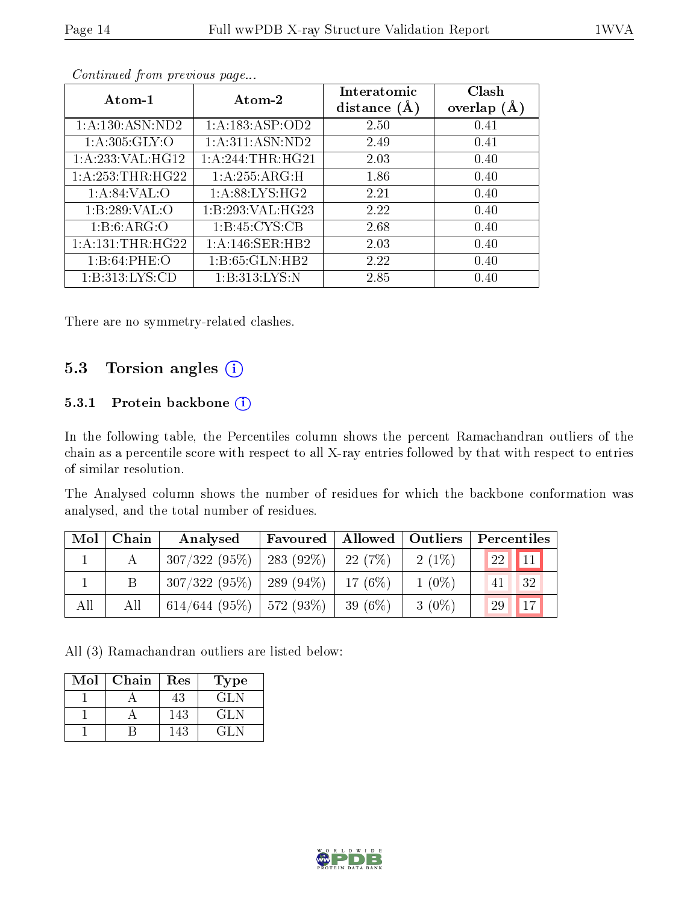| Atom-1               | Atom-2                       | Interatomic<br>distance $(A)$ | Clash<br>overlap $(A)$ |
|----------------------|------------------------------|-------------------------------|------------------------|
| 1: A: 130: ASN: ND2  | 1: A: 183: ASP: OD2          | 2.50                          | 0.41                   |
| 1: A:305: GLY:O      | $1:A:311:AS\overline{N:ND2}$ | 2.49                          | 0.41                   |
| 1:A:233:VAL:HG12     | 1: A:244:THR:HG21            | 2.03                          | 0.40                   |
| 1: A: 253: THR: HG22 | 1:A:255:ARG:H                | 1.86                          | 0.40                   |
| 1: A:84:VAL:O        | 1: A:88: LYS: HG2            | 2.21                          | 0.40                   |
| 1:B:289:VAL:O        | 1:B:293:VAL:HG23             | 2.22                          | 0.40                   |
| 1: B:6: ARG:O        | 1: B: 45: CYS: CB            | 2.68                          | 0.40                   |
| 1: A: 131: THR: HG22 | 1:A:146:SER:HB2              | 2.03                          | 0.40                   |
| 1:B:64:PHE:O         | 1:B:65:GLN:HB2               | 2.22                          | 0.40                   |
| 1: B: 313: LYS: CD   | 1: B: 313: LYS: N            | 2.85                          | 0.40                   |

There are no symmetry-related clashes.

### 5.3 Torsion angles (i)

#### 5.3.1 Protein backbone (i)

In the following table, the Percentiles column shows the percent Ramachandran outliers of the chain as a percentile score with respect to all X-ray entries followed by that with respect to entries of similar resolution.

The Analysed column shows the number of residues for which the backbone conformation was analysed, and the total number of residues.

| Mol | Chain | Analysed                     | Favoured       | Allowed   Outliers |          | Percentiles                     |
|-----|-------|------------------------------|----------------|--------------------|----------|---------------------------------|
|     | А     | $307/322(95\%)$   283 (92\%) |                | 22 (7\%)           | $2(1\%)$ | <b>22</b><br>$\vert$ 11 $\vert$ |
|     |       | 307/322(95%)                 | 289 (94 $\%$ ) | 17(6%)             | $1(0\%)$ | 32                              |
| All | Аll   | $614/644$ (95%)   572 (93%)  |                | 39 (6\%)           | $3(0\%)$ | 17<br>29                        |

All (3) Ramachandran outliers are listed below:

| Mol | Chain | Res | Type |
|-----|-------|-----|------|
|     |       | 43  | GL N |
|     |       | 143 | GL N |
|     |       | 143 | 71 N |

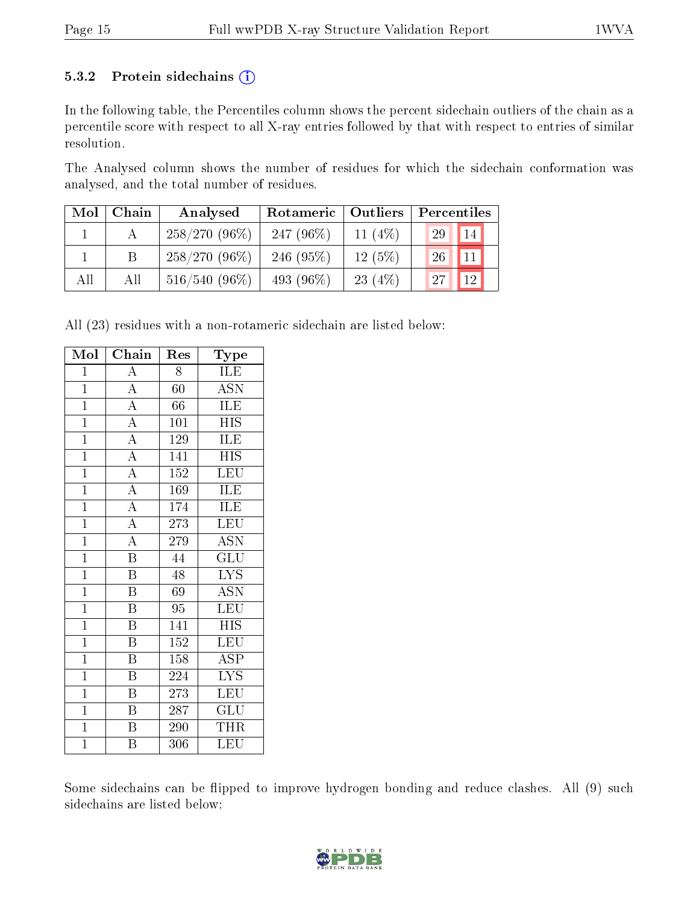#### 5.3.2 Protein sidechains  $(i)$

In the following table, the Percentiles column shows the percent sidechain outliers of the chain as a percentile score with respect to all X-ray entries followed by that with respect to entries of similar resolution.

The Analysed column shows the number of residues for which the sidechain conformation was analysed, and the total number of residues.

| Mol | Chain | Analysed        | Rotameric    | Outliers  | Percentiles |                 |
|-----|-------|-----------------|--------------|-----------|-------------|-----------------|
|     |       | $258/270(96\%)$ | 247 $(96\%)$ | 11 $(4%)$ | 29          | 14              |
|     |       | $258/270(96\%)$ | 246 $(95%)$  | 12(5%)    | 26          | 11 <sub>1</sub> |
| All | Аll   | $516/540(96\%)$ | 493 $(96\%)$ | 23 $(4%)$ | 27          | 12              |

All (23) residues with a non-rotameric sidechain are listed below:

| Mol            | Chain                   | Res              | Type                      |
|----------------|-------------------------|------------------|---------------------------|
| $\overline{1}$ | A                       | 8                | ILE                       |
| $\overline{1}$ | $\overline{\rm A}$      | $\overline{60}$  | $\overline{\mathrm{ASN}}$ |
| $\mathbf{1}$   | $\overline{A}$          | 66               | ILE                       |
| $\overline{1}$ | $\overline{A}$          | 101              | <b>HIS</b>                |
| $\overline{1}$ | $\overline{A}$          | 129              | ILE                       |
| $\overline{1}$ | $\overline{A}$          | 141              | $\overline{H}$ IS         |
| $\mathbf{1}$   | $\overline{A}$          | $\overline{152}$ | $\overline{\textrm{LEU}}$ |
| $\mathbf{1}$   | $\overline{A}$          | 169              | ILE                       |
| $\overline{1}$ | $\overline{A}$          | 174              | <b>ILE</b>                |
| $\overline{1}$ | $\overline{A}$          | 273              | $\overline{\text{LEU}}$   |
| $\overline{1}$ | $\overline{A}$          | 279              | $\overline{\mathrm{ASN}}$ |
| $\overline{1}$ | $\overline{\mathbf{B}}$ | 44               | $\overline{{\rm GLU}}$    |
| $\overline{1}$ | $\overline{\text{B}}$   | 48               | <b>LYS</b>                |
| $\overline{1}$ | $\overline{\mathrm{B}}$ | 69               | $\overline{\mathrm{ASN}}$ |
| $\mathbf{1}$   | $\overline{\mathrm{B}}$ | 95               | $\overline{\text{LEU}}$   |
| $\mathbf{1}$   | $\overline{\mathrm{B}}$ | 141              | <b>HIS</b>                |
| $\overline{1}$ | $\overline{\mathrm{B}}$ | $\overline{152}$ | $\overline{\text{LEU}}$   |
| $\overline{1}$ | $\overline{\mathrm{B}}$ | $\overline{1}58$ | ASP                       |
| $\mathbf{1}$   | $\overline{\mathrm{B}}$ | 224              | $\overline{\text{LYS}}$   |
| $\mathbf{1}$   | $\overline{\mathrm{B}}$ | 273              | LEU                       |
| $\mathbf{1}$   | $\overline{\mathrm{B}}$ | 287              | $\widetilde{{\rm GLU}}$   |
| $\overline{1}$ | $\overline{\mathrm{B}}$ | 290              | THR                       |
| $\overline{1}$ | $\overline{\mathrm{B}}$ | 306              | LEU                       |

Some sidechains can be flipped to improve hydrogen bonding and reduce clashes. All (9) such sidechains are listed below:

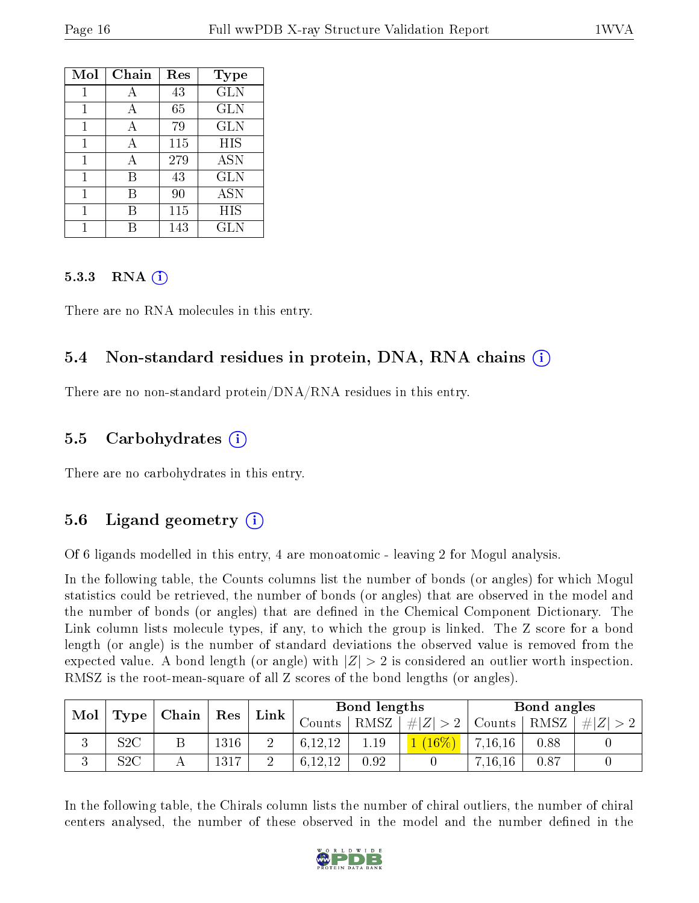| Mol | Chain | Res | <b>Type</b>  |
|-----|-------|-----|--------------|
| 1   | А     | 43  | <b>GLN</b>   |
| 1   | А     | 65  | GLN          |
| 1   | A     | 79  | $_{\rm GLN}$ |
| 1   | А     | 115 | HIS          |
| 1   | А     | 279 | <b>ASN</b>   |
| 1   | В     | 43  | <b>GLN</b>   |
| 1   | В     | 90  | <b>ASN</b>   |
|     | R     | 115 | <b>HIS</b>   |
|     |       | 143 | GLN          |

#### $5.3.3$  RNA  $(i)$

There are no RNA molecules in this entry.

#### 5.4 Non-standard residues in protein, DNA, RNA chains (i)

There are no non-standard protein/DNA/RNA residues in this entry.

#### 5.5 Carbohydrates (i)

There are no carbohydrates in this entry.

### 5.6 Ligand geometry  $(i)$

Of 6 ligands modelled in this entry, 4 are monoatomic - leaving 2 for Mogul analysis.

In the following table, the Counts columns list the number of bonds (or angles) for which Mogul statistics could be retrieved, the number of bonds (or angles) that are observed in the model and the number of bonds (or angles) that are defined in the Chemical Component Dictionary. The Link column lists molecule types, if any, to which the group is linked. The Z score for a bond length (or angle) is the number of standard deviations the observed value is removed from the expected value. A bond length (or angle) with  $|Z| > 2$  is considered an outlier worth inspection. RMSZ is the root-mean-square of all Z scores of the bond lengths (or angles).

| Mol<br>$\mid$ Chain $\mid$<br>Type |           |      |          |      | Bond lengths      |        |          | Bond angles |      |  |
|------------------------------------|-----------|------|----------|------|-------------------|--------|----------|-------------|------|--|
|                                    | Res       | Link | ∪ounts – | RMSZ | $\pm  Z^+ $<br>>2 | Counts | RMSZ     | # Z         |      |  |
| ◡                                  | $\rm S2C$ |      | 1316     |      | 6,12,12           | 1.19   | $(16\%)$ | 7, 16, 16   | 0.88 |  |
| ◡                                  | S2C       |      | 1317     |      | 19 19             | 0.92   |          | 7, 16, 16   | 0.87 |  |

In the following table, the Chirals column lists the number of chiral outliers, the number of chiral centers analysed, the number of these observed in the model and the number defined in the

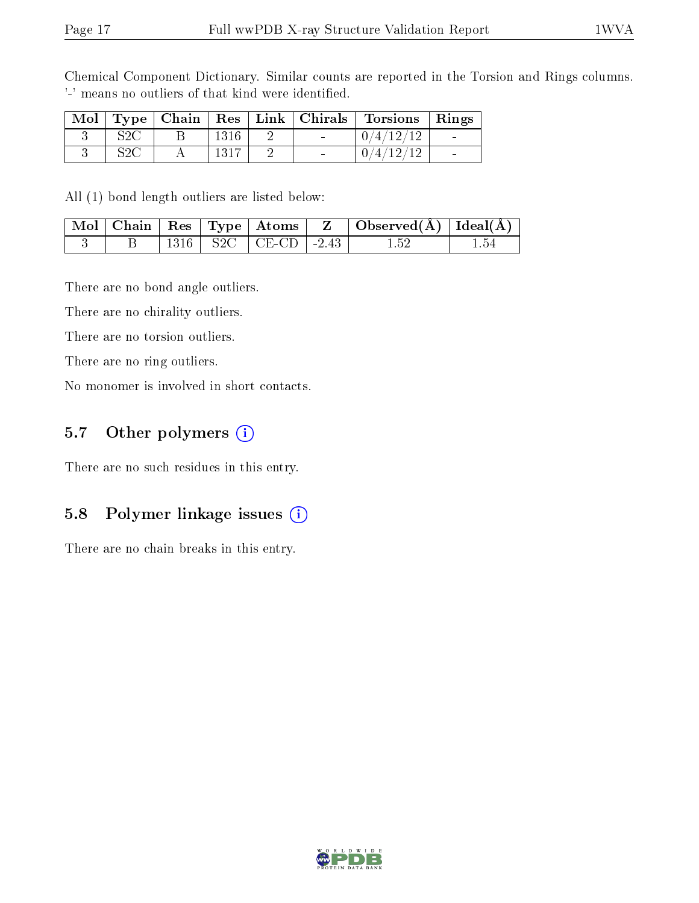Chemical Component Dictionary. Similar counts are reported in the Torsion and Rings columns. '-' means no outliers of that kind were identified.

| Mol |     | $\perp$ Type $\parallel$ Chain $\perp$ |  | $\mid$ Res $\mid$ Link $\mid$ Chirals $\mid$ | Torsions   Rings          |  |
|-----|-----|----------------------------------------|--|----------------------------------------------|---------------------------|--|
|     | COC |                                        |  | $\sim$                                       | $\langle 4/12/12 \rangle$ |  |
|     | COC |                                        |  | $\sim$                                       | $\theta$ .                |  |

All (1) bond length outliers are listed below:

|  |  | $\mid$ Mol $\mid$ Chain $\mid$ Res $\mid$ Type $\mid$ Atoms $\mid$ | $\mathbf{Z}$ . The set of $\mathbf{Z}$ | $\Box$ Observed( $\AA$ ) $\Box$ Ideal( $\AA$ ) |  |
|--|--|--------------------------------------------------------------------|----------------------------------------|------------------------------------------------|--|
|  |  | $+$ S2C $+$ CE-CD $-2.43$                                          |                                        |                                                |  |

There are no bond angle outliers.

There are no chirality outliers.

There are no torsion outliers.

There are no ring outliers.

No monomer is involved in short contacts.

#### 5.7 [O](https://www.wwpdb.org/validation/2017/XrayValidationReportHelp#nonstandard_residues_and_ligands)ther polymers (i)

There are no such residues in this entry.

#### 5.8 Polymer linkage issues  $(i)$

There are no chain breaks in this entry.

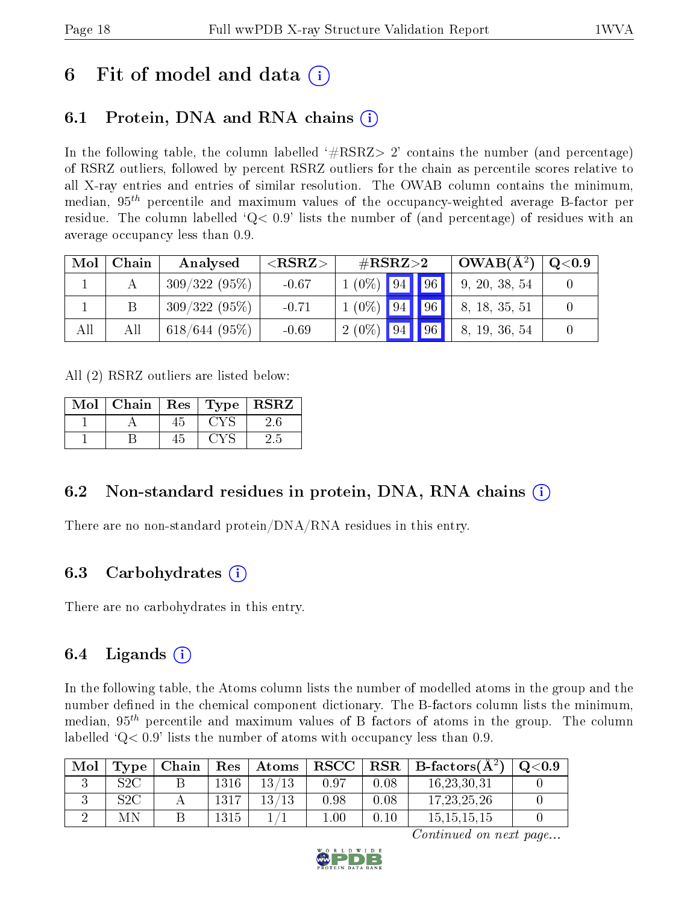## 6 Fit of model and data  $\left( \cdot \right)$

## 6.1 Protein, DNA and RNA chains (i)

In the following table, the column labelled  $#RSRZ>2'$  contains the number (and percentage) of RSRZ outliers, followed by percent RSRZ outliers for the chain as percentile scores relative to all X-ray entries and entries of similar resolution. The OWAB column contains the minimum, median,  $95<sup>th</sup>$  percentile and maximum values of the occupancy-weighted average B-factor per residue. The column labelled  $Q< 0.9$  lists the number of (and percentage) of residues with an average occupancy less than 0.9.

| Mol | Chain | Analysed        | ${ <\hspace{-1.5pt}{\mathrm{RSRZ}} \hspace{-1.5pt}>}$ | $\#\text{RSRZ}\text{>2}$ |    | $OWAB(A^2)$   | Q <sub>0.9</sub> |
|-----|-------|-----------------|-------------------------------------------------------|--------------------------|----|---------------|------------------|
|     |       | $309/322(95\%)$ | $-0.67$                                               | $1(0\%)$ 94 96           |    | 9, 20, 38, 54 |                  |
|     |       | 309/322(95%)    | $-0.71$                                               | $1(0\%)$ 94   96         |    | 8, 18, 35, 51 |                  |
| All | All   | 618/644(95%)    | $-0.69$                                               | $2(0\%)$ 94              | 96 | 8, 19, 36, 54 |                  |

All (2) RSRZ outliers are listed below:

| Mol | Chain | $\mid$ Res |                       | $\top$ Type   $\text{RSR}\overline{\text{Z}}$ |
|-----|-------|------------|-----------------------|-----------------------------------------------|
|     |       | 45         | <b>CYS</b>            |                                               |
|     |       | 45         | $\epsilon$ y $\infty$ | 2.5                                           |

### 6.2 Non-standard residues in protein, DNA, RNA chains  $(i)$

There are no non-standard protein/DNA/RNA residues in this entry.

### 6.3 Carbohydrates (i)

There are no carbohydrates in this entry.

### 6.4 Ligands  $(i)$

In the following table, the Atoms column lists the number of modelled atoms in the group and the number defined in the chemical component dictionary. The B-factors column lists the minimum, median,  $95<sup>th</sup>$  percentile and maximum values of B factors of atoms in the group. The column labelled  $Q< 0.9$ ' lists the number of atoms with occupancy less than 0.9.

| Mol | Type | Chain∣ |      | $\mid$ Res $\mid$ Atoms |      |      | $ RSCC RSR B-factors(A2)$ | $\,^{\circ}$ Q<0.9 |
|-----|------|--------|------|-------------------------|------|------|---------------------------|--------------------|
|     | S2C  |        | 1316 | 13/13                   | 0.97 | 0.08 | 16, 23, 30, 31            |                    |
|     | S2C  |        | 1317 | 13/13                   | 0.98 | 0.08 | 17, 23, 25, 26            |                    |
|     | МN   |        | 1315 |                         | 1.00 | 0.10 | 15, 15, 15, 15            |                    |